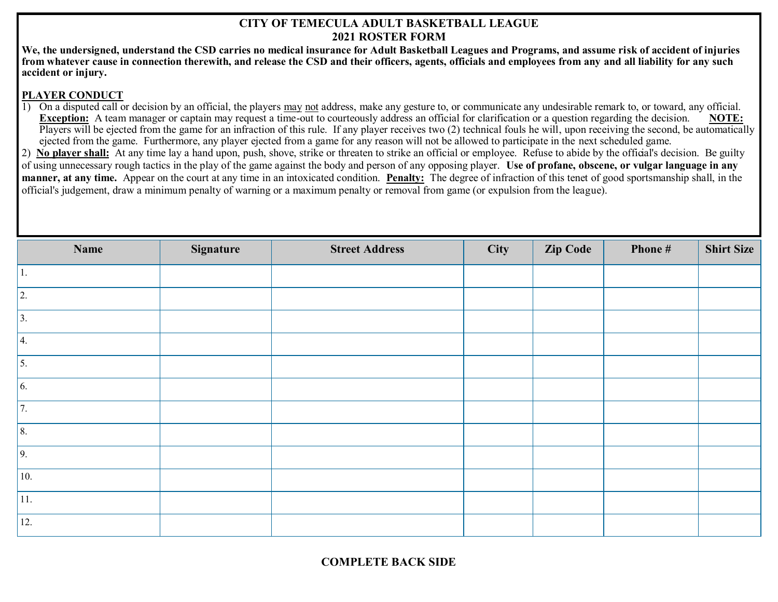## **CITY OF TEMECULA ADULT BASKETBALL LEAGUE 2021 ROSTER FORM**

**We, the undersigned, understand the CSD carries no medical insurance for Adult Basketball Leagues and Programs, and assume risk of accident of injuries from whatever cause in connection therewith, and release the CSD and their officers, agents, officials and employees from any and all liability for any such accident or injury.**

## **PLAYER CONDUCT**

1) On a disputed call or decision by an official, the players may not address, make any gesture to, or communicate any undesirable remark to, or toward, any official. **Exception:** A team manager or captain may request a time-out to courteously address an official for clarification or a question regarding the decision. **NOTE:** Players will be ejected from the game for an infraction of this rule. If any player receives two (2) technical fouls he will, upon receiving the second, be automatically ejected from the game. Furthermore, any player ejected from a game for any reason will not be allowed to participate in the next scheduled game.

2) **No player shall:** At any time lay a hand upon, push, shove, strike or threaten to strike an official or employee. Refuse to abide by the official's decision. Be guilty of using unnecessary rough tactics in the play of the game against the body and person of any opposing player. **Use of profane, obscene, or vulgar language in any manner, at any time.** Appear on the court at any time in an intoxicated condition. **Penalty:** The degree of infraction of this tenet of good sportsmanship shall, in the official's judgement, draw a minimum penalty of warning or a maximum penalty or removal from game (or expulsion from the league).

| Name         | Signature | <b>Street Address</b> | City | <b>Zip Code</b> | Phone # | <b>Shirt Size</b> |
|--------------|-----------|-----------------------|------|-----------------|---------|-------------------|
| 1.           |           |                       |      |                 |         |                   |
| 2.           |           |                       |      |                 |         |                   |
| $\vert$ 3.   |           |                       |      |                 |         |                   |
| $\vert 4.$   |           |                       |      |                 |         |                   |
| $\vert$ 5.   |           |                       |      |                 |         |                   |
| $\vert 6.$   |           |                       |      |                 |         |                   |
| 7.           |           |                       |      |                 |         |                   |
| $\vert 8.$   |           |                       |      |                 |         |                   |
| $\vert$ 9.   |           |                       |      |                 |         |                   |
| 10.          |           |                       |      |                 |         |                   |
| $ 11\rangle$ |           |                       |      |                 |         |                   |
| 12.          |           |                       |      |                 |         |                   |

**COMPLETE BACK SIDE**